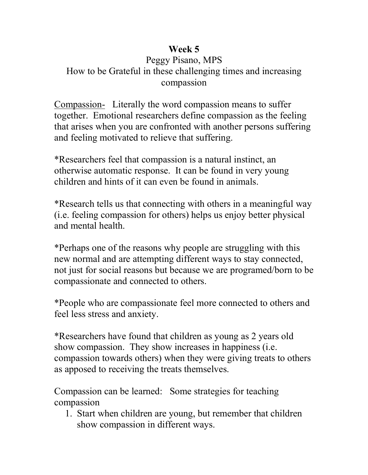## **Week 5**

## Peggy Pisano, MPS How to be Grateful in these challenging times and increasing compassion

Compassion- Literally the word compassion means to suffer together. Emotional researchers define compassion as the feeling that arises when you are confronted with another persons suffering and feeling motivated to relieve that suffering.

\*Researchers feel that compassion is a natural instinct, an otherwise automatic response. It can be found in very young children and hints of it can even be found in animals.

\*Research tells us that connecting with others in a meaningful way (i.e. feeling compassion for others) helps us enjoy better physical and mental health.

\*Perhaps one of the reasons why people are struggling with this new normal and are attempting different ways to stay connected, not just for social reasons but because we are programed/born to be compassionate and connected to others.

\*People who are compassionate feel more connected to others and feel less stress and anxiety.

\*Researchers have found that children as young as 2 years old show compassion. They show increases in happiness (i.e. compassion towards others) when they were giving treats to others as apposed to receiving the treats themselves.

Compassion can be learned: Some strategies for teaching compassion

1. Start when children are young, but remember that children show compassion in different ways.